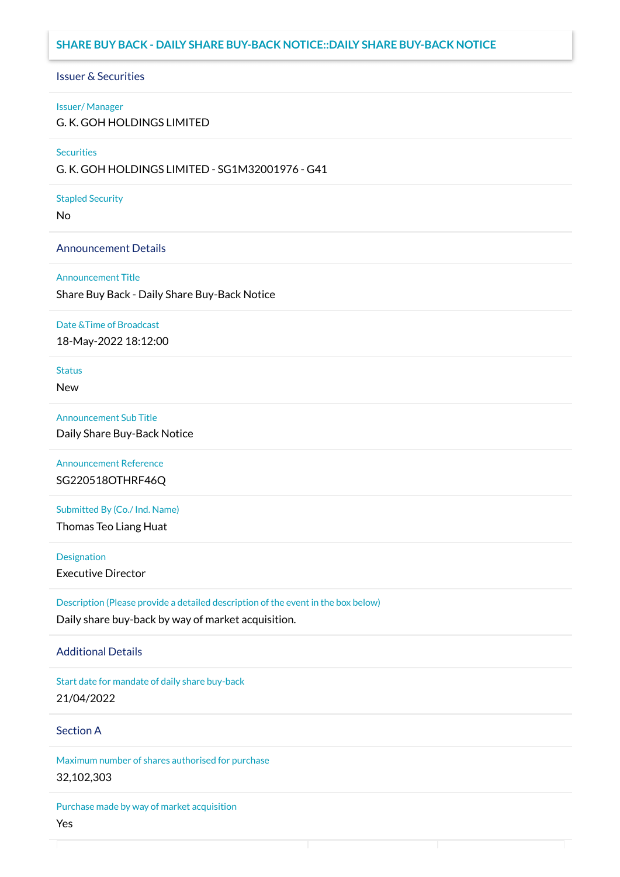# **SHARE BUY BACK - DAILY SHARE BUY-BACK NOTICE::DAILY SHARE BUY-BACK NOTICE**

## Issuer & Securities

### Issuer/ Manager

G. K. GOH HOLDINGS LIMITED

## **Securities**

G. K. GOH HOLDINGS LIMITED - SG1M32001976 - G41

### Stapled Security

No

## Announcement Details

### Announcement Title

Share Buy Back - Daily Share Buy-Back Notice

### Date &Time of Broadcast

18-May-2022 18:12:00

# **Status**

New

## Announcement Sub Title

Daily Share Buy-Back Notice

Announcement Reference SG220518OTHRF46Q

Submitted By (Co./ Ind. Name)

Thomas Teo Liang Huat

**Designation** 

Executive Director

Description (Please provide a detailed description of the event in the box below) Daily share buy-back by way of market acquisition.

## Additional Details

Start date for mandate of daily share buy-back 21/04/2022

# Section A

Maximum number of shares authorised for purchase 32,102,303

Purchase made by way of market acquisition Yes